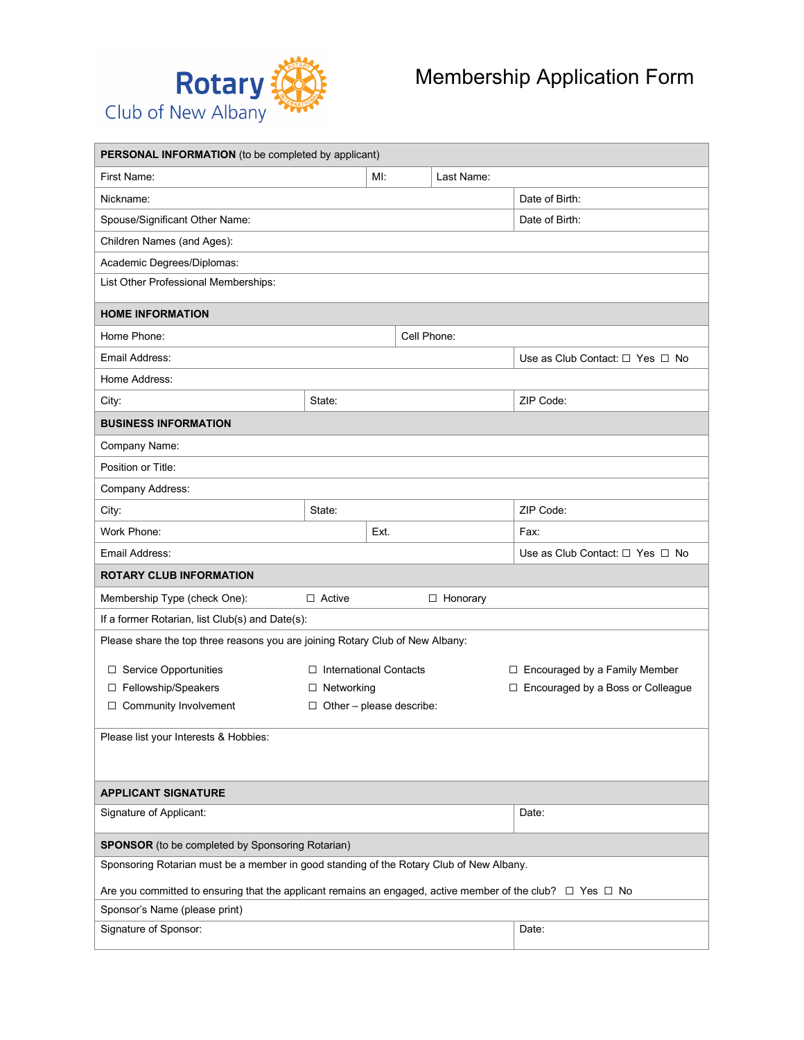

| <b>PERSONAL INFORMATION</b> (to be completed by applicant)                                                           |                                 |      |             |                                           |  |  |
|----------------------------------------------------------------------------------------------------------------------|---------------------------------|------|-------------|-------------------------------------------|--|--|
| First Name:<br>MI:                                                                                                   |                                 |      | Last Name:  |                                           |  |  |
| Nickname:                                                                                                            |                                 |      |             | Date of Birth:                            |  |  |
| Spouse/Significant Other Name:                                                                                       |                                 |      |             | Date of Birth:                            |  |  |
| Children Names (and Ages):                                                                                           |                                 |      |             |                                           |  |  |
| Academic Degrees/Diplomas:                                                                                           |                                 |      |             |                                           |  |  |
| List Other Professional Memberships:                                                                                 |                                 |      |             |                                           |  |  |
| <b>HOME INFORMATION</b>                                                                                              |                                 |      |             |                                           |  |  |
| Home Phone:                                                                                                          |                                 |      | Cell Phone: |                                           |  |  |
| Email Address:                                                                                                       |                                 |      |             | Use as Club Contact: $\Box$ Yes $\Box$ No |  |  |
| Home Address:                                                                                                        |                                 |      |             |                                           |  |  |
| City:                                                                                                                | State:                          |      |             | ZIP Code:                                 |  |  |
| <b>BUSINESS INFORMATION</b>                                                                                          |                                 |      |             |                                           |  |  |
| Company Name:                                                                                                        |                                 |      |             |                                           |  |  |
| Position or Title:                                                                                                   |                                 |      |             |                                           |  |  |
| Company Address:                                                                                                     |                                 |      |             |                                           |  |  |
| City:                                                                                                                | State:                          |      |             | ZIP Code:                                 |  |  |
| Work Phone:                                                                                                          |                                 | Ext. |             | Fax:                                      |  |  |
|                                                                                                                      |                                 |      |             |                                           |  |  |
| Email Address:                                                                                                       |                                 |      |             | Use as Club Contact: □ Yes □ No           |  |  |
| <b>ROTARY CLUB INFORMATION</b>                                                                                       |                                 |      |             |                                           |  |  |
| Membership Type (check One):                                                                                         | $\Box$ Active                   |      | □ Honorary  |                                           |  |  |
| If a former Rotarian, list Club(s) and Date(s):                                                                      |                                 |      |             |                                           |  |  |
| Please share the top three reasons you are joining Rotary Club of New Albany:                                        |                                 |      |             |                                           |  |  |
| □ Service Opportunities                                                                                              | $\Box$ International Contacts   |      |             | $\Box$ Encouraged by a Family Member      |  |  |
| □ Fellowship/Speakers                                                                                                | $\Box$ Networking               |      |             | □ Encouraged by a Boss or Colleague       |  |  |
| □ Community Involvement                                                                                              | $\Box$ Other - please describe: |      |             |                                           |  |  |
| Please list your Interests & Hobbies:                                                                                |                                 |      |             |                                           |  |  |
|                                                                                                                      |                                 |      |             |                                           |  |  |
| <b>APPLICANT SIGNATURE</b>                                                                                           |                                 |      |             |                                           |  |  |
| Signature of Applicant:                                                                                              |                                 |      |             | Date:                                     |  |  |
| <b>SPONSOR</b> (to be completed by Sponsoring Rotarian)                                                              |                                 |      |             |                                           |  |  |
| Sponsoring Rotarian must be a member in good standing of the Rotary Club of New Albany.                              |                                 |      |             |                                           |  |  |
| Are you committed to ensuring that the applicant remains an engaged, active member of the club? $\Box$ Yes $\Box$ No |                                 |      |             |                                           |  |  |
| Sponsor's Name (please print)                                                                                        |                                 |      |             |                                           |  |  |